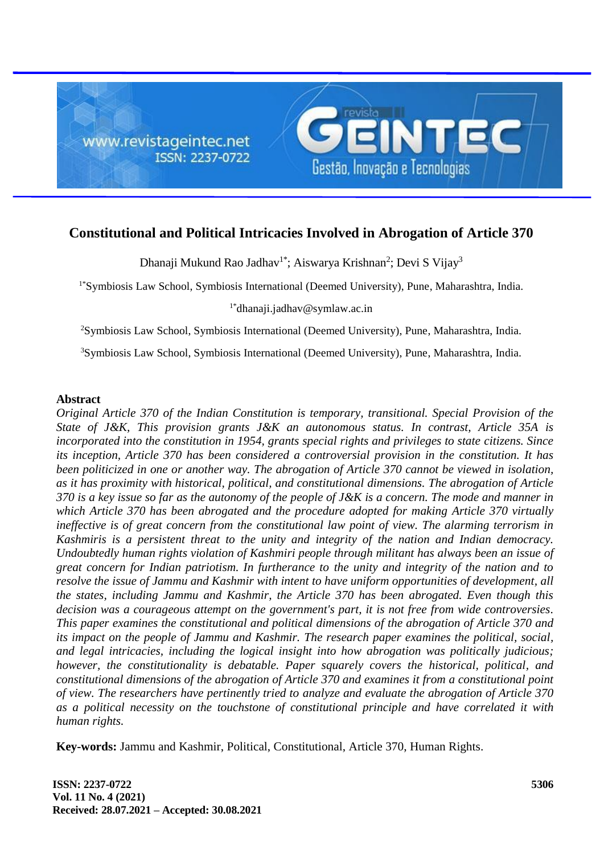

# **Constitutional and Political Intricacies Involved in Abrogation of Article 370**

Dhanaji Mukund Rao Jadhav<sup>1\*</sup>; Aiswarya Krishnan<sup>2</sup>; Devi S Vijay<sup>3</sup>

1\*Symbiosis Law School, Symbiosis International (Deemed University), Pune, Maharashtra, India.

1\*dhanaji.jadhav@symlaw.ac.in

<sup>2</sup>Symbiosis Law School, Symbiosis International (Deemed University), Pune, Maharashtra, India.

<sup>3</sup>Symbiosis Law School, Symbiosis International (Deemed University), Pune, Maharashtra, India.

### **Abstract**

*Original Article 370 of the Indian Constitution is temporary, transitional. Special Provision of the State of J&K, This provision grants J&K an autonomous status. In contrast, Article 35A is incorporated into the constitution in 1954, grants special rights and privileges to state citizens. Since its inception, Article 370 has been considered a controversial provision in the constitution. It has been politicized in one or another way. The abrogation of Article 370 cannot be viewed in isolation, as it has proximity with historical, political, and constitutional dimensions. The abrogation of Article 370 is a key issue so far as the autonomy of the people of J&K is a concern. The mode and manner in which Article 370 has been abrogated and the procedure adopted for making Article 370 virtually ineffective is of great concern from the constitutional law point of view. The alarming terrorism in Kashmiris is a persistent threat to the unity and integrity of the nation and Indian democracy. Undoubtedly human rights violation of Kashmiri people through militant has always been an issue of great concern for Indian patriotism. In furtherance to the unity and integrity of the nation and to resolve the issue of Jammu and Kashmir with intent to have uniform opportunities of development, all the states, including Jammu and Kashmir, the Article 370 has been abrogated. Even though this decision was a courageous attempt on the government's part, it is not free from wide controversies. This paper examines the constitutional and political dimensions of the abrogation of Article 370 and its impact on the people of Jammu and Kashmir. The research paper examines the political, social, and legal intricacies, including the logical insight into how abrogation was politically judicious; however, the constitutionality is debatable. Paper squarely covers the historical, political, and constitutional dimensions of the abrogation of Article 370 and examines it from a constitutional point of view. The researchers have pertinently tried to analyze and evaluate the abrogation of Article 370 as a political necessity on the touchstone of constitutional principle and have correlated it with human rights.*

**Key-words:** Jammu and Kashmir, Political, Constitutional, Article 370, Human Rights.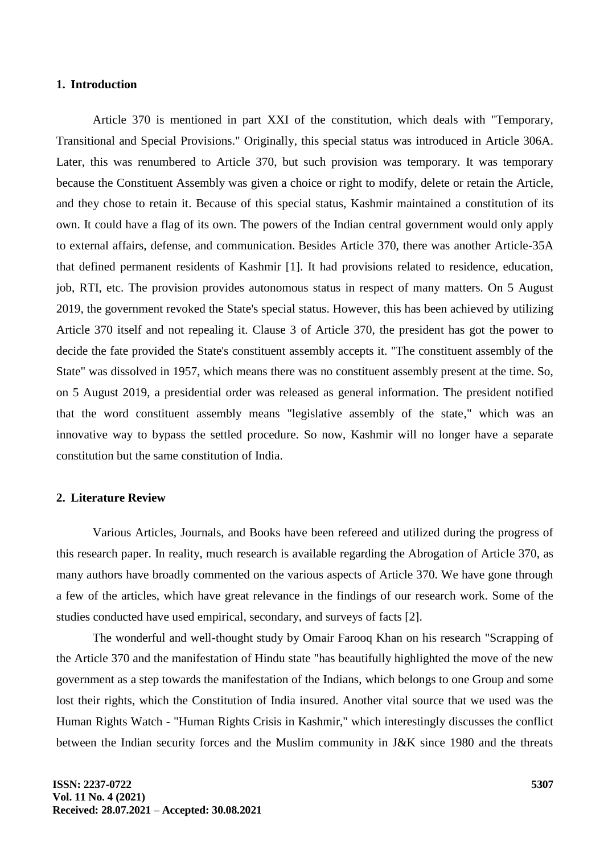### **1. Introduction**

Article 370 is mentioned in part XXI of the constitution, which deals with "Temporary, Transitional and Special Provisions." Originally, this special status was introduced in Article 306A. Later, this was renumbered to Article 370, but such provision was temporary. It was temporary because the Constituent Assembly was given a choice or right to modify, delete or retain the Article, and they chose to retain it. Because of this special status, Kashmir maintained a constitution of its own. It could have a flag of its own. The powers of the Indian central government would only apply to external affairs, defense, and communication. Besides Article 370, there was another Article-35A that defined permanent residents of Kashmir [1]. It had provisions related to residence, education, job, RTI, etc. The provision provides autonomous status in respect of many matters. On 5 August 2019, the government revoked the State's special status. However, this has been achieved by utilizing Article 370 itself and not repealing it. Clause 3 of Article 370, the president has got the power to decide the fate provided the State's constituent assembly accepts it. "The constituent assembly of the State" was dissolved in 1957, which means there was no constituent assembly present at the time. So, on 5 August 2019, a presidential order was released as general information. The president notified that the word constituent assembly means "legislative assembly of the state," which was an innovative way to bypass the settled procedure. So now, Kashmir will no longer have a separate constitution but the same constitution of India.

#### **2. Literature Review**

Various Articles, Journals, and Books have been refereed and utilized during the progress of this research paper. In reality, much research is available regarding the Abrogation of Article 370, as many authors have broadly commented on the various aspects of Article 370. We have gone through a few of the articles, which have great relevance in the findings of our research work. Some of the studies conducted have used empirical, secondary, and surveys of facts [2].

The wonderful and well-thought study by Omair Farooq Khan on his research "Scrapping of the Article 370 and the manifestation of Hindu state "has beautifully highlighted the move of the new government as a step towards the manifestation of the Indians, which belongs to one Group and some lost their rights, which the Constitution of India insured. Another vital source that we used was the Human Rights Watch - "Human Rights Crisis in Kashmir," which interestingly discusses the conflict between the Indian security forces and the Muslim community in J&K since 1980 and the threats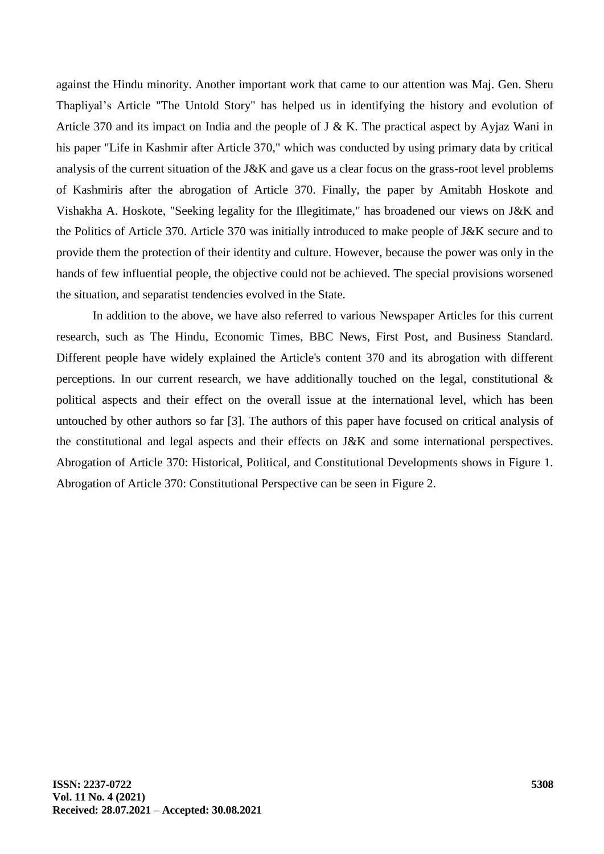against the Hindu minority. Another important work that came to our attention was Maj. Gen. Sheru Thapliyal's Article "The Untold Story" has helped us in identifying the history and evolution of Article 370 and its impact on India and the people of J & K. The practical aspect by Ayjaz Wani in his paper "Life in Kashmir after Article 370," which was conducted by using primary data by critical analysis of the current situation of the J&K and gave us a clear focus on the grass-root level problems of Kashmiris after the abrogation of Article 370. Finally, the paper by Amitabh Hoskote and Vishakha A. Hoskote, "Seeking legality for the Illegitimate," has broadened our views on J&K and the Politics of Article 370. Article 370 was initially introduced to make people of J&K secure and to provide them the protection of their identity and culture. However, because the power was only in the hands of few influential people, the objective could not be achieved. The special provisions worsened the situation, and separatist tendencies evolved in the State.

In addition to the above, we have also referred to various Newspaper Articles for this current research, such as The Hindu, Economic Times, BBC News, First Post, and Business Standard. Different people have widely explained the Article's content 370 and its abrogation with different perceptions. In our current research, we have additionally touched on the legal, constitutional  $\&$ political aspects and their effect on the overall issue at the international level, which has been untouched by other authors so far [3]. The authors of this paper have focused on critical analysis of the constitutional and legal aspects and their effects on J&K and some international perspectives. Abrogation of Article 370: Historical, Political, and Constitutional Developments shows in Figure 1. Abrogation of Article 370: Constitutional Perspective can be seen in Figure 2.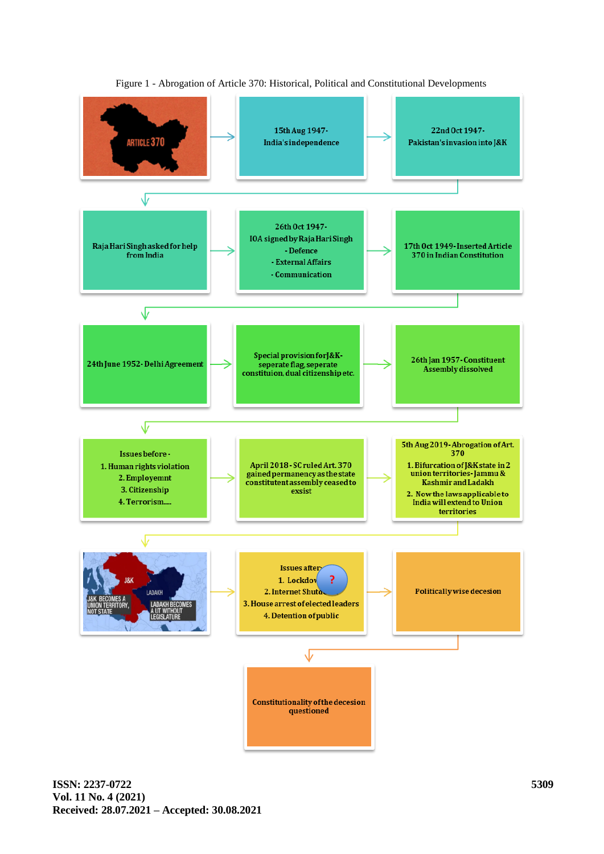

#### Figure 1 - Abrogation of Article 370: Historical, Political and Constitutional Developments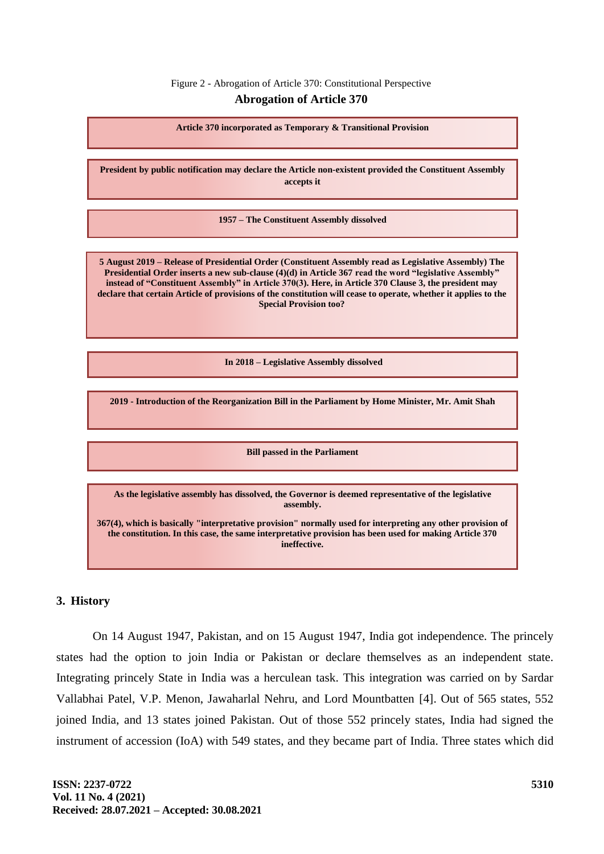# Figure 2 - Abrogation of Article 370: Constitutional Perspective

#### **Abrogation of Article 370**

**Article 370 incorporated as Temporary & Transitional Provision**

**President by public notification may declare the Article non-existent provided the Constituent Assembly accepts it**

**1957 – The Constituent Assembly dissolved** 

**5 August 2019 – Release of Presidential Order (Constituent Assembly read as Legislative Assembly) The Presidential Order inserts a new sub-clause (4)(d) in Article 367 read the word "legislative Assembly" instead of "Constituent Assembly" in Article 370(3). Here, in Article 370 Clause 3, the president may declare that certain Article of provisions of the constitution will cease to operate, whether it applies to the Special Provision too?**

**In 2018 – Legislative Assembly dissolved** 

**2019 - Introduction of the Reorganization Bill in the Parliament by Home Minister, Mr. Amit Shah**

**Bill passed in the Parliament**

**As the legislative assembly has dissolved, the Governor is deemed representative of the legislative assembly.**

**367(4), which is basically "interpretative provision" normally used for interpreting any other provision of the constitution. In this case, the same interpretative provision has been used for making Article 370 ineffective.**

#### **3. History**

On 14 August 1947, Pakistan, and on 15 August 1947, India got independence. The princely states had the option to join India or Pakistan or declare themselves as an independent state. Integrating princely State in India was a herculean task. This integration was carried on by Sardar Vallabhai Patel, V.P. Menon, Jawaharlal Nehru, and Lord Mountbatten [4]. Out of 565 states, 552 joined India, and 13 states joined Pakistan. Out of those 552 princely states, India had signed the instrument of accession (IoA) with 549 states, and they became part of India. Three states which did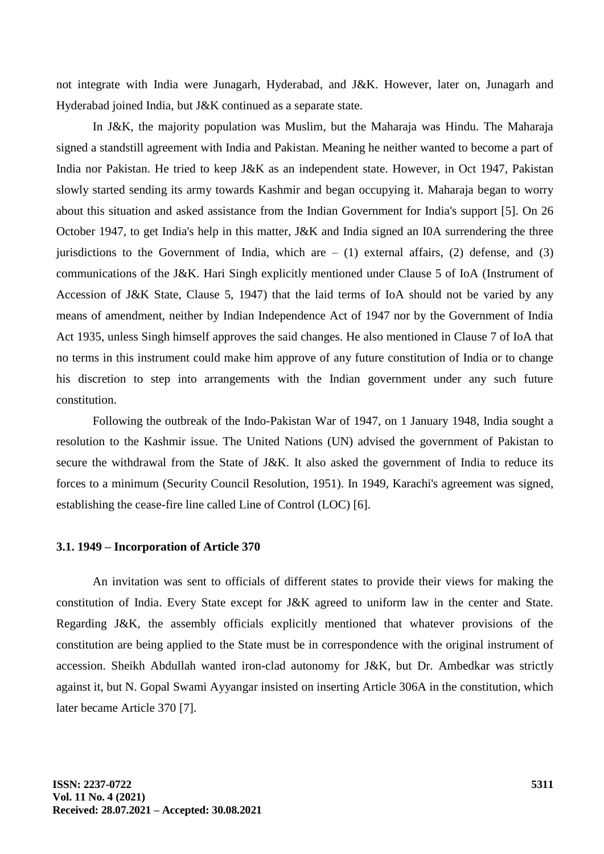not integrate with India were Junagarh, Hyderabad, and J&K. However, later on, Junagarh and Hyderabad joined India, but J&K continued as a separate state.

In J&K, the majority population was Muslim, but the Maharaja was Hindu. The Maharaja signed a standstill agreement with India and Pakistan. Meaning he neither wanted to become a part of India nor Pakistan. He tried to keep J&K as an independent state. However, in Oct 1947, Pakistan slowly started sending its army towards Kashmir and began occupying it. Maharaja began to worry about this situation and asked assistance from the Indian Government for India's support [5]. On 26 October 1947, to get India's help in this matter, J&K and India signed an I0A surrendering the three jurisdictions to the Government of India, which are  $- (1)$  external affairs, (2) defense, and (3) communications of the J&K. Hari Singh explicitly mentioned under Clause 5 of IoA (Instrument of Accession of J&K State, Clause 5, 1947) that the laid terms of IoA should not be varied by any means of amendment, neither by Indian Independence Act of 1947 nor by the Government of India Act 1935, unless Singh himself approves the said changes. He also mentioned in Clause 7 of IoA that no terms in this instrument could make him approve of any future constitution of India or to change his discretion to step into arrangements with the Indian government under any such future constitution.

Following the outbreak of the Indo-Pakistan War of 1947, on 1 January 1948, India sought a resolution to the Kashmir issue. The United Nations (UN) advised the government of Pakistan to secure the withdrawal from the State of J&K. It also asked the government of India to reduce its forces to a minimum (Security Council Resolution, 1951). In 1949, Karachi's agreement was signed, establishing the cease-fire line called Line of Control (LOC) [6].

#### **3.1. 1949 – Incorporation of Article 370**

An invitation was sent to officials of different states to provide their views for making the constitution of India. Every State except for J&K agreed to uniform law in the center and State. Regarding J&K, the assembly officials explicitly mentioned that whatever provisions of the constitution are being applied to the State must be in correspondence with the original instrument of accession. Sheikh Abdullah wanted iron-clad autonomy for J&K, but Dr. Ambedkar was strictly against it, but N. Gopal Swami Ayyangar insisted on inserting Article 306A in the constitution, which later became Article 370 [7].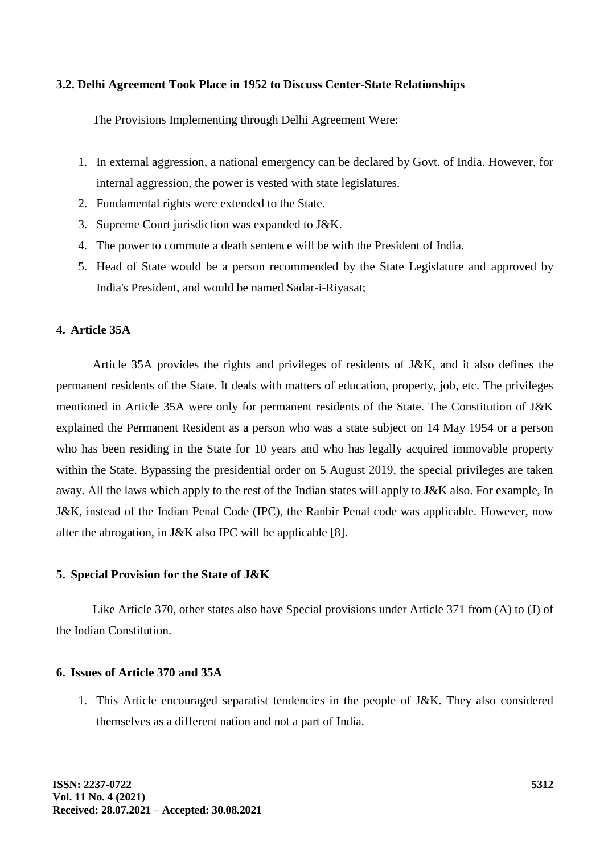### **3.2. Delhi Agreement Took Place in 1952 to Discuss Center-State Relationships**

The Provisions Implementing through Delhi Agreement Were:

- 1. In external aggression, a national emergency can be declared by Govt. of India. However, for internal aggression, the power is vested with state legislatures.
- 2. Fundamental rights were extended to the State.
- 3. Supreme Court jurisdiction was expanded to J&K.
- 4. The power to commute a death sentence will be with the President of India.
- 5. Head of State would be a person recommended by the State Legislature and approved by India's President, and would be named Sadar-i-Riyasat;

## **4. Article 35A**

Article 35A provides the rights and privileges of residents of J&K, and it also defines the permanent residents of the State. It deals with matters of education, property, job, etc. The privileges mentioned in Article 35A were only for permanent residents of the State. The Constitution of J&K explained the Permanent Resident as a person who was a state subject on 14 May 1954 or a person who has been residing in the State for 10 years and who has legally acquired immovable property within the State. Bypassing the presidential order on 5 August 2019, the special privileges are taken away. All the laws which apply to the rest of the Indian states will apply to J&K also. For example, In J&K, instead of the Indian Penal Code (IPC), the Ranbir Penal code was applicable. However, now after the abrogation, in J&K also IPC will be applicable [8].

#### **5. Special Provision for the State of J&K**

Like Article 370, other states also have Special provisions under Article 371 from (A) to (J) of the Indian Constitution.

# **6. Issues of Article 370 and 35A**

1. This Article encouraged separatist tendencies in the people of J&K. They also considered themselves as a different nation and not a part of India.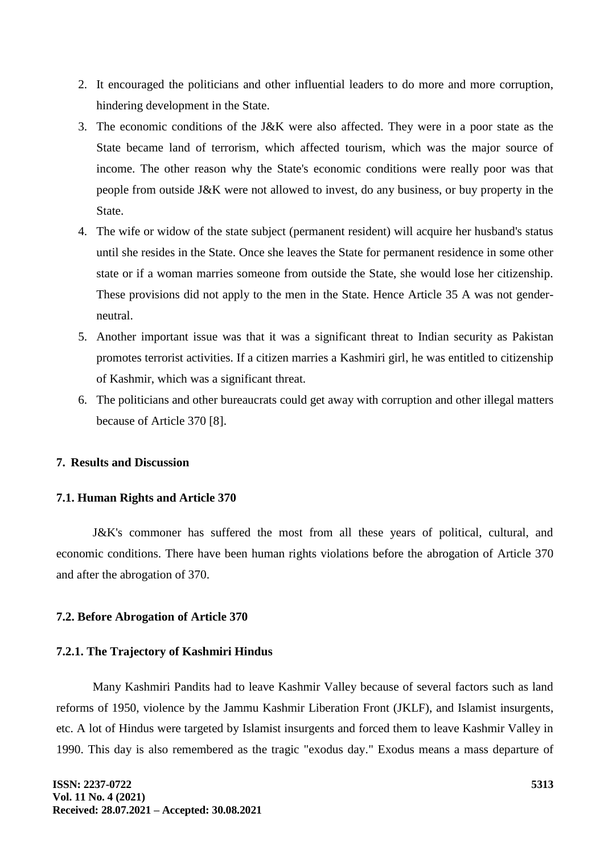- 2. It encouraged the politicians and other influential leaders to do more and more corruption, hindering development in the State.
- 3. The economic conditions of the J&K were also affected. They were in a poor state as the State became land of terrorism, which affected tourism, which was the major source of income. The other reason why the State's economic conditions were really poor was that people from outside J&K were not allowed to invest, do any business, or buy property in the State.
- 4. The wife or widow of the state subject (permanent resident) will acquire her husband's status until she resides in the State. Once she leaves the State for permanent residence in some other state or if a woman marries someone from outside the State, she would lose her citizenship. These provisions did not apply to the men in the State. Hence Article 35 A was not genderneutral.
- 5. Another important issue was that it was a significant threat to Indian security as Pakistan promotes terrorist activities. If a citizen marries a Kashmiri girl, he was entitled to citizenship of Kashmir, which was a significant threat.
- 6. The politicians and other bureaucrats could get away with corruption and other illegal matters because of Article 370 [8].

# **7. Results and Discussion**

#### **7.1. Human Rights and Article 370**

J&K's commoner has suffered the most from all these years of political, cultural, and economic conditions. There have been human rights violations before the abrogation of Article 370 and after the abrogation of 370.

### **7.2. Before Abrogation of Article 370**

#### **7.2.1. The Trajectory of Kashmiri Hindus**

Many Kashmiri Pandits had to leave Kashmir Valley because of several factors such as land reforms of 1950, violence by the Jammu Kashmir Liberation Front (JKLF), and Islamist insurgents, etc. A lot of Hindus were targeted by Islamist insurgents and forced them to leave Kashmir Valley in 1990. This day is also remembered as the tragic "exodus day." Exodus means a mass departure of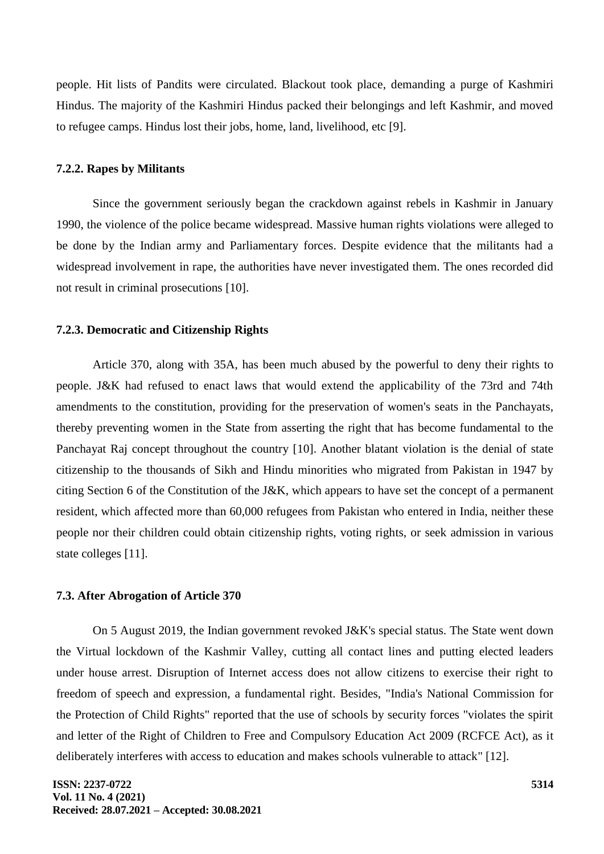people. Hit lists of Pandits were circulated. Blackout took place, demanding a purge of Kashmiri Hindus. The majority of the Kashmiri Hindus packed their belongings and left Kashmir, and moved to refugee camps. Hindus lost their jobs, home, land, livelihood, etc [9].

#### **7.2.2. Rapes by Militants**

Since the government seriously began the crackdown against rebels in Kashmir in January 1990, the violence of the police became widespread. Massive human rights violations were alleged to be done by the Indian army and Parliamentary forces. Despite evidence that the militants had a widespread involvement in rape, the authorities have never investigated them. The ones recorded did not result in criminal prosecutions [10].

#### **7.2.3. Democratic and Citizenship Rights**

Article 370, along with 35A, has been much abused by the powerful to deny their rights to people. J&K had refused to enact laws that would extend the applicability of the 73rd and 74th amendments to the constitution, providing for the preservation of women's seats in the Panchayats, thereby preventing women in the State from asserting the right that has become fundamental to the Panchayat Raj concept throughout the country [10]. Another blatant violation is the denial of state citizenship to the thousands of Sikh and Hindu minorities who migrated from Pakistan in 1947 by citing Section 6 of the Constitution of the J&K, which appears to have set the concept of a permanent resident, which affected more than 60,000 refugees from Pakistan who entered in India, neither these people nor their children could obtain citizenship rights, voting rights, or seek admission in various state colleges [11].

### **7.3. After Abrogation of Article 370**

On 5 August 2019, the Indian government revoked J&K's special status. The State went down the Virtual lockdown of the Kashmir Valley, cutting all contact lines and putting elected leaders under house arrest. Disruption of Internet access does not allow citizens to exercise their right to freedom of speech and expression, a fundamental right. Besides, "India's National Commission for the Protection of Child Rights" reported that the use of schools by security forces "violates the spirit and letter of the Right of Children to Free and Compulsory Education Act 2009 (RCFCE Act), as it deliberately interferes with access to education and makes schools vulnerable to attack" [12].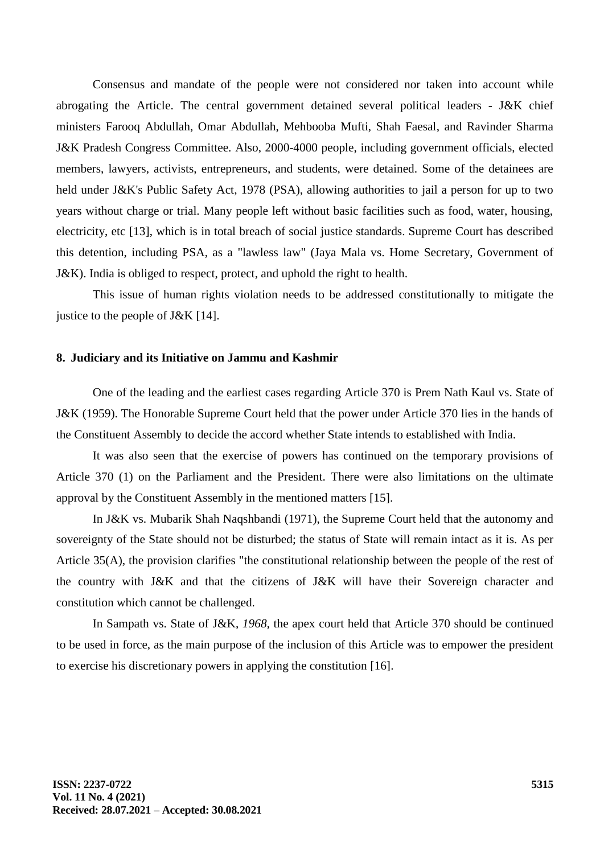Consensus and mandate of the people were not considered nor taken into account while abrogating the Article. The central government detained several political leaders - J&K chief ministers Farooq Abdullah, Omar Abdullah, Mehbooba Mufti, Shah Faesal, and Ravinder Sharma J&K Pradesh Congress Committee. Also, 2000-4000 people, including government officials, elected members, lawyers, activists, entrepreneurs, and students, were detained. Some of the detainees are held under J&K's Public Safety Act, 1978 (PSA), allowing authorities to jail a person for up to two years without charge or trial. Many people left without basic facilities such as food, water, housing, electricity, etc [13], which is in total breach of social justice standards. Supreme Court has described this detention, including PSA, as a "lawless law" (Jaya Mala vs. Home Secretary, Government of J&K). India is obliged to respect, protect, and uphold the right to health.

This issue of human rights violation needs to be addressed constitutionally to mitigate the justice to the people of J&K [14].

### **8. Judiciary and its Initiative on Jammu and Kashmir**

One of the leading and the earliest cases regarding Article 370 is Prem Nath Kaul vs. State of J&K (1959). The Honorable Supreme Court held that the power under Article 370 lies in the hands of the Constituent Assembly to decide the accord whether State intends to established with India.

It was also seen that the exercise of powers has continued on the temporary provisions of Article 370 (1) on the Parliament and the President. There were also limitations on the ultimate approval by the Constituent Assembly in the mentioned matters [15].

In J&K vs. Mubarik Shah Naqshbandi (1971), the Supreme Court held that the autonomy and sovereignty of the State should not be disturbed; the status of State will remain intact as it is. As per Article 35(A), the provision clarifies "the constitutional relationship between the people of the rest of the country with J&K and that the citizens of J&K will have their Sovereign character and constitution which cannot be challenged.

In Sampath vs. State of J&K, *1968,* the apex court held that Article 370 should be continued to be used in force, as the main purpose of the inclusion of this Article was to empower the president to exercise his discretionary powers in applying the constitution [16].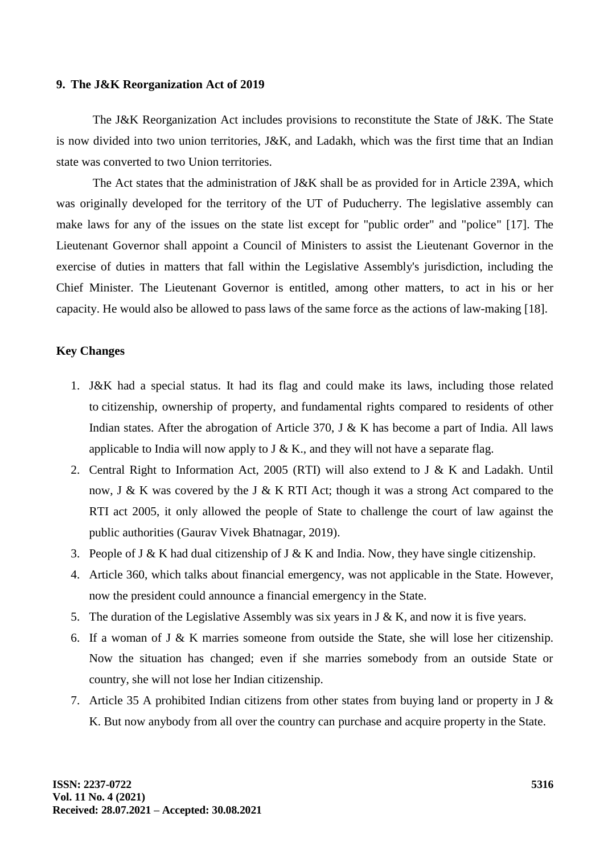#### **9. The J&K Reorganization Act of 2019**

The J&K Reorganization Act includes provisions to reconstitute the State of J&K. The State is now divided into two union territories, J&K, and Ladakh, which was the first time that an Indian state was converted to two Union territories.

The Act states that the administration of J&K shall be as provided for in Article 239A, which was originally developed for the territory of the UT of Puducherry. The legislative assembly can make laws for any of the issues on the state list except for "public order" and "police" [17]. The Lieutenant Governor shall appoint a Council of Ministers to assist the Lieutenant Governor in the exercise of duties in matters that fall within the Legislative Assembly's jurisdiction, including the Chief Minister. The Lieutenant Governor is entitled, among other matters, to act in his or her capacity. He would also be allowed to pass laws of the same force as the actions of law-making [18].

# **Key Changes**

- 1. J&K had a special status. It had its flag and could make its laws, including those related to [citizenship,](https://en.wikipedia.org/wiki/Indian_citizenship) ownership of property, and [fundamental rights](https://en.wikipedia.org/wiki/Fundamental_rights_in_India) compared to residents of other Indian states. After the abrogation of Article 370, J & K has become a part of India. All laws applicable to India will now apply to  $J \& K$ , and they will not have a separate flag.
- 2. Central Right to Information Act, 2005 (RTI) will also extend to J & K and Ladakh. Until now, J & K was covered by the J & K RTI Act; though it was a strong Act compared to the RTI act 2005, it only allowed the people of State to challenge the court of law against the public authorities (Gaurav Vivek Bhatnagar, 2019).
- 3. People of J & K had dual citizenship of J & K and India. Now, they have single citizenship.
- 4. Article 360, which talks about financial emergency, was not applicable in the State. However, now the president could announce a financial emergency in the State.
- 5. The duration of the Legislative Assembly was six years in  $J \& K$ , and now it is five years.
- 6. If a woman of J & K marries someone from outside the State, she will lose her citizenship. Now the situation has changed; even if she marries somebody from an outside State or country, she will not lose her Indian citizenship.
- 7. Article 35 A prohibited Indian citizens from other states from buying land or property in J & K. But now anybody from all over the country can purchase and acquire property in the State.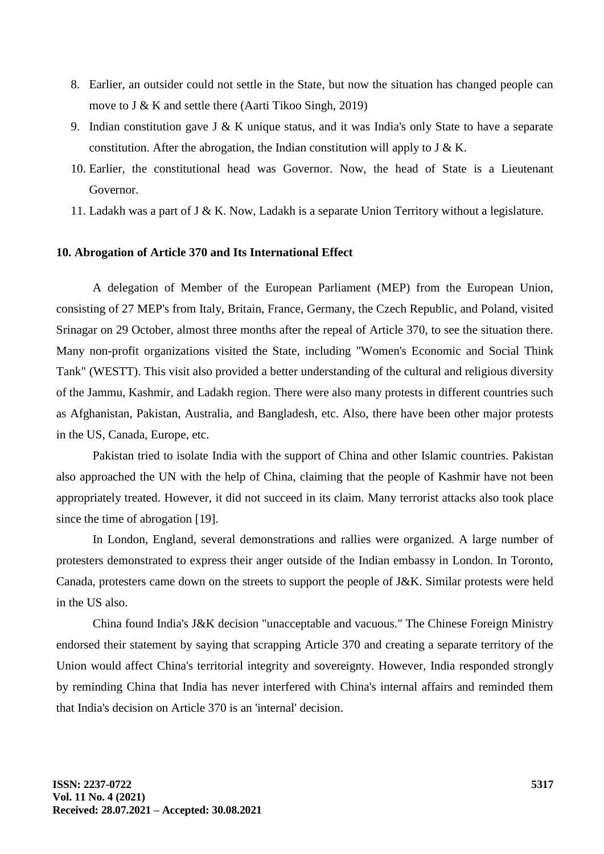- 8. Earlier, an outsider could not settle in the State, but now the situation has changed people can move to J & K and settle there (Aarti Tikoo Singh, 2019)
- 9. Indian constitution gave J & K unique status, and it was India's only State to have a separate constitution. After the abrogation, the Indian constitution will apply to  $J \& K$ .
- 10. Earlier, the constitutional head was Governor. Now, the head of State is a Lieutenant Governor.
- 11. Ladakh was a part of  $J \& K$ . Now, Ladakh is a separate Union Territory without a legislature.

#### **10. Abrogation of Article 370 and Its International Effect**

A delegation of Member of the European Parliament (MEP) from the European Union, consisting of 27 MEP's from Italy, Britain, France, Germany, the Czech Republic, and Poland, visited Srinagar on 29 October, almost three months after the repeal of Article 370, to see the situation there. Many non-profit organizations visited the State, including "Women's Economic and Social Think Tank" (WESTT). This visit also provided a better understanding of the cultural and religious diversity of the Jammu, Kashmir, and Ladakh region. There were also many protests in different countries such as Afghanistan, Pakistan, Australia, and Bangladesh, etc. Also, there have been other major protests in the US, Canada, Europe, etc.

Pakistan tried to isolate India with the support of China and other Islamic countries. Pakistan also approached the UN with the help of China, claiming that the people of Kashmir have not been appropriately treated. However, it did not succeed in its claim. Many terrorist attacks also took place since the time of abrogation [19].

In London, England, several demonstrations and rallies were organized. A large number of protesters demonstrated to express their anger outside of the Indian embassy in London. In Toronto, Canada, protesters came down on the streets to support the people of J&K. Similar protests were held in the US also.

China found India's J&K decision "unacceptable and vacuous." The Chinese Foreign Ministry endorsed their statement by saying that scrapping Article 370 and creating a separate territory of the Union would affect China's territorial integrity and sovereignty. However, India responded strongly by reminding China that India has never interfered with China's internal affairs and reminded them that India's decision on Article 370 is an 'internal' decision.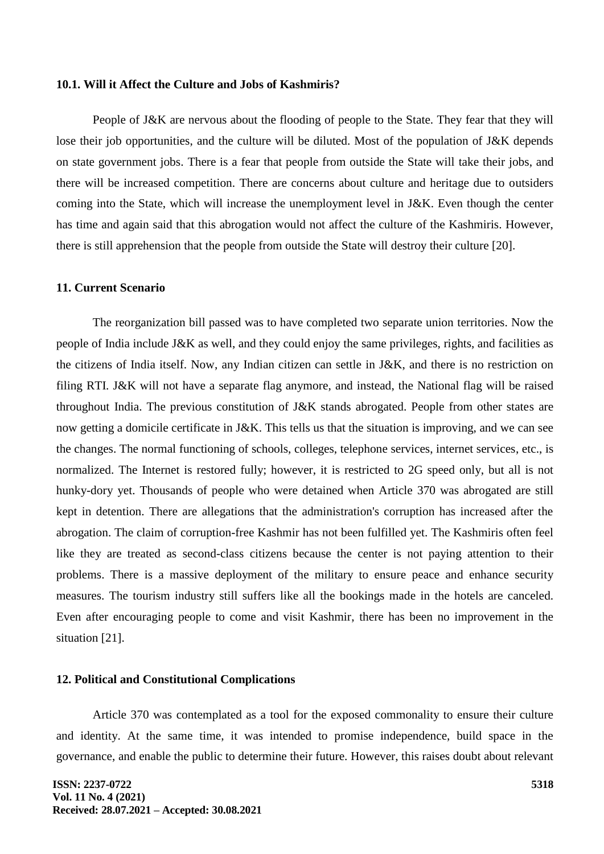#### **10.1. Will it Affect the Culture and Jobs of Kashmiris?**

People of J&K are nervous about the flooding of people to the State. They fear that they will lose their job opportunities, and the culture will be diluted. Most of the population of J&K depends on state government jobs. There is a fear that people from outside the State will take their jobs, and there will be increased competition. There are concerns about culture and heritage due to outsiders coming into the State, which will increase the unemployment level in J&K. Even though the center has time and again said that this abrogation would not affect the culture of the Kashmiris. However, there is still apprehension that the people from outside the State will destroy their culture [20].

#### **11. Current Scenario**

The reorganization bill passed was to have completed two separate union territories. Now the people of India include J&K as well, and they could enjoy the same privileges, rights, and facilities as the citizens of India itself. Now, any Indian citizen can settle in J&K, and there is no restriction on filing RTI. J&K will not have a separate flag anymore, and instead, the National flag will be raised throughout India. The previous constitution of J&K stands abrogated. People from other states are now getting a domicile certificate in J&K. This tells us that the situation is improving, and we can see the changes. The normal functioning of schools, colleges, telephone services, internet services, etc., is normalized. The Internet is restored fully; however, it is restricted to 2G speed only, but all is not hunky-dory yet. Thousands of people who were detained when Article 370 was abrogated are still kept in detention. There are allegations that the administration's corruption has increased after the abrogation. The claim of corruption-free Kashmir has not been fulfilled yet. The Kashmiris often feel like they are treated as second-class citizens because the center is not paying attention to their problems. There is a massive deployment of the military to ensure peace and enhance security measures. The tourism industry still suffers like all the bookings made in the hotels are canceled. Even after encouraging people to come and visit Kashmir, there has been no improvement in the situation [21].

#### **12. Political and Constitutional Complications**

Article 370 was contemplated as a tool for the exposed commonality to ensure their culture and identity. At the same time, it was intended to promise independence, build space in the governance, and enable the public to determine their future. However, this raises doubt about relevant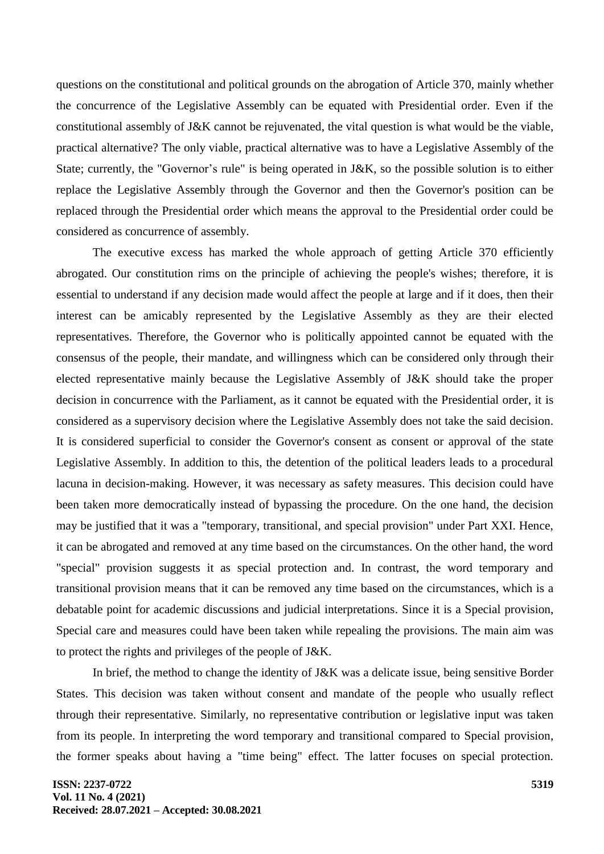questions on the constitutional and political grounds on the abrogation of Article 370, mainly whether the concurrence of the Legislative Assembly can be equated with Presidential order. Even if the constitutional assembly of J&K cannot be rejuvenated, the vital question is what would be the viable, practical alternative? The only viable, practical alternative was to have a Legislative Assembly of the State; currently, the "Governor's rule" is being operated in J&K, so the possible solution is to either replace the Legislative Assembly through the Governor and then the Governor's position can be replaced through the Presidential order which means the approval to the Presidential order could be considered as concurrence of assembly.

The executive excess has marked the whole approach of getting Article 370 efficiently abrogated. Our constitution rims on the principle of achieving the people's wishes; therefore, it is essential to understand if any decision made would affect the people at large and if it does, then their interest can be amicably represented by the Legislative Assembly as they are their elected representatives. Therefore, the Governor who is politically appointed cannot be equated with the consensus of the people, their mandate, and willingness which can be considered only through their elected representative mainly because the Legislative Assembly of J&K should take the proper decision in concurrence with the Parliament, as it cannot be equated with the Presidential order, it is considered as a supervisory decision where the Legislative Assembly does not take the said decision. It is considered superficial to consider the Governor's consent as consent or approval of the state Legislative Assembly. In addition to this, the detention of the political leaders leads to a procedural lacuna in decision-making. However, it was necessary as safety measures. This decision could have been taken more democratically instead of bypassing the procedure. On the one hand, the decision may be justified that it was a "temporary, transitional, and special provision" under Part XXI. Hence, it can be abrogated and removed at any time based on the circumstances. On the other hand, the word "special" provision suggests it as special protection and. In contrast, the word temporary and transitional provision means that it can be removed any time based on the circumstances, which is a debatable point for academic discussions and judicial interpretations. Since it is a Special provision, Special care and measures could have been taken while repealing the provisions. The main aim was to protect the rights and privileges of the people of J&K.

In brief, the method to change the identity of J&K was a delicate issue, being sensitive Border States. This decision was taken without consent and mandate of the people who usually reflect through their representative. Similarly, no representative contribution or legislative input was taken from its people. In interpreting the word temporary and transitional compared to Special provision, the former speaks about having a "time being" effect. The latter focuses on special protection.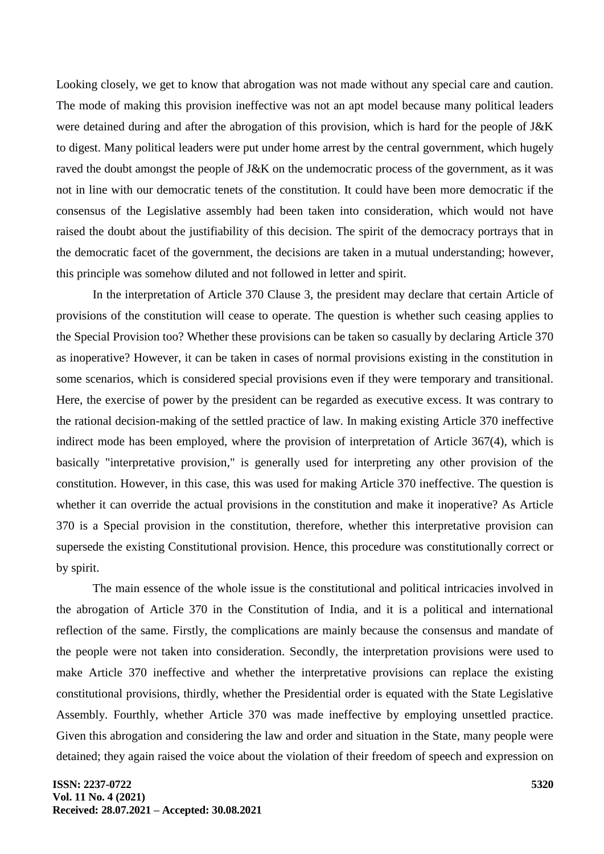Looking closely, we get to know that abrogation was not made without any special care and caution. The mode of making this provision ineffective was not an apt model because many political leaders were detained during and after the abrogation of this provision, which is hard for the people of J&K to digest. Many political leaders were put under home arrest by the central government, which hugely raved the doubt amongst the people of J&K on the undemocratic process of the government, as it was not in line with our democratic tenets of the constitution. It could have been more democratic if the consensus of the Legislative assembly had been taken into consideration, which would not have raised the doubt about the justifiability of this decision. The spirit of the democracy portrays that in the democratic facet of the government, the decisions are taken in a mutual understanding; however, this principle was somehow diluted and not followed in letter and spirit.

In the interpretation of Article 370 Clause 3, the president may declare that certain Article of provisions of the constitution will cease to operate. The question is whether such ceasing applies to the Special Provision too? Whether these provisions can be taken so casually by declaring Article 370 as inoperative? However, it can be taken in cases of normal provisions existing in the constitution in some scenarios, which is considered special provisions even if they were temporary and transitional. Here, the exercise of power by the president can be regarded as executive excess. It was contrary to the rational decision-making of the settled practice of law. In making existing Article 370 ineffective indirect mode has been employed, where the provision of interpretation of Article 367(4), which is basically "interpretative provision," is generally used for interpreting any other provision of the constitution. However, in this case, this was used for making Article 370 ineffective. The question is whether it can override the actual provisions in the constitution and make it inoperative? As Article 370 is a Special provision in the constitution, therefore, whether this interpretative provision can supersede the existing Constitutional provision. Hence, this procedure was constitutionally correct or by spirit.

The main essence of the whole issue is the constitutional and political intricacies involved in the abrogation of Article 370 in the Constitution of India, and it is a political and international reflection of the same. Firstly, the complications are mainly because the consensus and mandate of the people were not taken into consideration. Secondly, the interpretation provisions were used to make Article 370 ineffective and whether the interpretative provisions can replace the existing constitutional provisions, thirdly, whether the Presidential order is equated with the State Legislative Assembly. Fourthly, whether Article 370 was made ineffective by employing unsettled practice. Given this abrogation and considering the law and order and situation in the State, many people were detained; they again raised the voice about the violation of their freedom of speech and expression on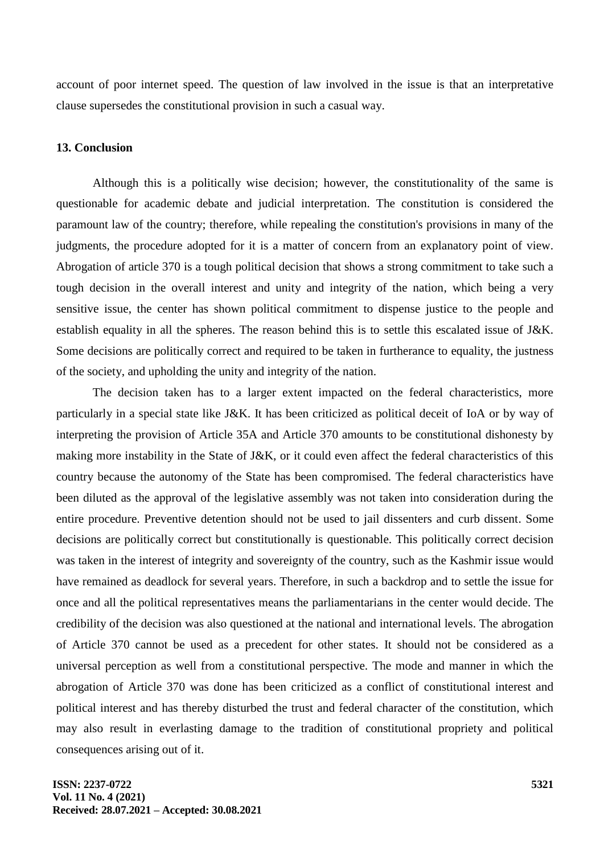account of poor internet speed. The question of law involved in the issue is that an interpretative clause supersedes the constitutional provision in such a casual way.

#### **13. Conclusion**

Although this is a politically wise decision; however, the constitutionality of the same is questionable for academic debate and judicial interpretation. The constitution is considered the paramount law of the country; therefore, while repealing the constitution's provisions in many of the judgments, the procedure adopted for it is a matter of concern from an explanatory point of view. Abrogation of article 370 is a tough political decision that shows a strong commitment to take such a tough decision in the overall interest and unity and integrity of the nation, which being a very sensitive issue, the center has shown political commitment to dispense justice to the people and establish equality in all the spheres. The reason behind this is to settle this escalated issue of J&K. Some decisions are politically correct and required to be taken in furtherance to equality, the justness of the society, and upholding the unity and integrity of the nation.

The decision taken has to a larger extent impacted on the federal characteristics, more particularly in a special state like J&K. It has been criticized as political deceit of IoA or by way of interpreting the provision of Article 35A and Article 370 amounts to be constitutional dishonesty by making more instability in the State of J&K, or it could even affect the federal characteristics of this country because the autonomy of the State has been compromised. The federal characteristics have been diluted as the approval of the legislative assembly was not taken into consideration during the entire procedure. Preventive detention should not be used to jail dissenters and curb dissent. Some decisions are politically correct but constitutionally is questionable. This politically correct decision was taken in the interest of integrity and sovereignty of the country, such as the Kashmir issue would have remained as deadlock for several years. Therefore, in such a backdrop and to settle the issue for once and all the political representatives means the parliamentarians in the center would decide. The credibility of the decision was also questioned at the national and international levels. The abrogation of Article 370 cannot be used as a precedent for other states. It should not be considered as a universal perception as well from a constitutional perspective. The mode and manner in which the abrogation of Article 370 was done has been criticized as a conflict of constitutional interest and political interest and has thereby disturbed the trust and federal character of the constitution, which may also result in everlasting damage to the tradition of constitutional propriety and political consequences arising out of it.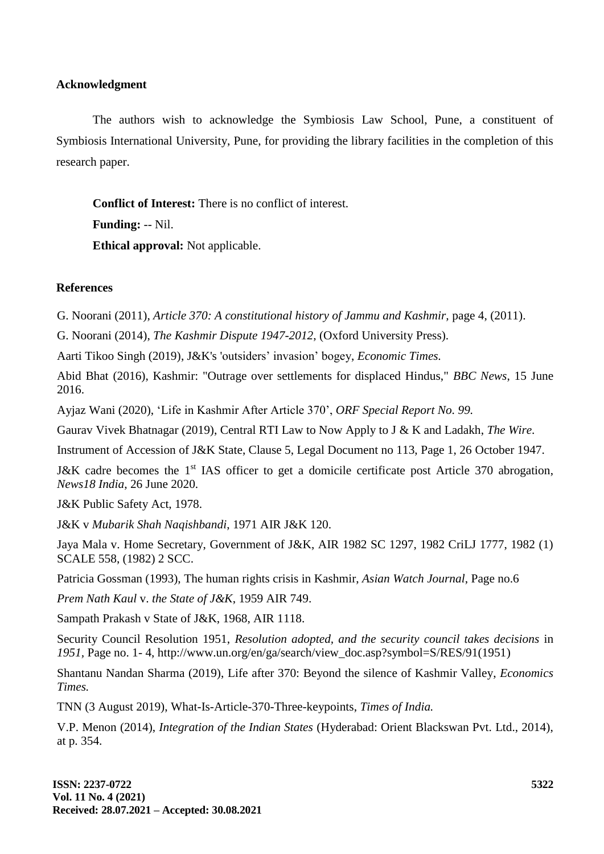#### **Acknowledgment**

The authors wish to acknowledge the Symbiosis Law School, Pune, a constituent of Symbiosis International University, Pune, for providing the library facilities in the completion of this research paper.

**Conflict of Interest:** There is no conflict of interest. **Funding:** -- Nil.

**Ethical approval:** Not applicable.

# **References**

G. Noorani (2011), *Article 370: A constitutional history of Jammu and Kashmir,* page 4, (2011).

G. Noorani (2014), *The Kashmir Dispute 1947-2012*, (Oxford University Press).

Aarti Tikoo Singh (2019), J&K's 'outsiders' invasion' bogey, *Economic Times.*

Abid Bhat (2016), Kashmir: "Outrage over settlements for displaced Hindus," *BBC News*, 15 June 2016.

Ayjaz Wani (2020), 'Life in Kashmir After Article 370', *ORF Special Report No. 99.*

Gaurav Vivek Bhatnagar (2019), Central RTI Law to Now Apply to J & K and Ladakh, *The Wire.*

Instrument of Accession of J&K State, Clause 5, Legal Document no 113, Page 1, 26 October 1947.

J&K cadre becomes the 1<sup>st</sup> IAS officer to get a domicile certificate post Article 370 abrogation, *News18 India*, 26 June 2020.

J&K Public Safety Act, 1978.

J&K v *Mubarik Shah Naqishbandi*, 1971 AIR J&K 120.

Jaya Mala v. Home Secretary, Government of J&K, AIR 1982 SC 1297, 1982 CriLJ 1777, 1982 (1) SCALE 558, (1982) 2 SCC.

Patricia Gossman (1993), The human rights crisis in Kashmir, *Asian Watch Journal*, Page no.6

*Prem Nath Kaul* v. *the State of J&K*, 1959 AIR 749.

Sampath Prakash v State of J&K, 1968, AIR 1118.

Security Council Resolution 1951, *Resolution adopted, and the security council takes decisions* in *1951,* Page no. 1- 4, http://www.un.org/en/ga/search/view\_doc.asp?symbol=S/RES/91(1951)

Shantanu Nandan Sharma (2019), Life after 370: Beyond the silence of Kashmir Valley, *Economics Times.*

TNN (3 August 2019), What-Is-Article-370-Three-keypoints, *Times of India.*

V.P. Menon (2014), *Integration of the Indian States* (Hyderabad: Orient Blackswan Pvt. Ltd., 2014), at p. 354.